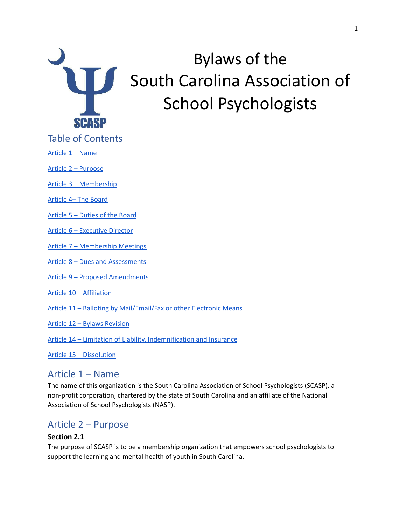

# Bylaws of the South Carolina Association of School Psychologists

Table of Contents

[Article](#page-0-0) 1 – Name

Article 2 – [Purpose](#page-0-1)

Article 3 – [Membership](#page-1-0)

[Article](#page-3-0) 4– The Board

[Article](#page-5-0) 5 – Duties of the Board

Article 6 – [Executive](#page-7-0) Director

Article 7 – [Membership](#page-7-1) Meetings

Article 8 – Dues and [Assessments](#page-8-0)

Article 9 – Proposed [Amendments](#page-8-1)

Article 10 – [Affiliation](#page-9-0)

Article 11 – Balloting by [Mail/Email/Fax](#page-9-1) or other Electronic Means

Article 12 – Bylaws [Revision](#page-10-0)

Article 14 – Limitation of Liability, [Indemnification](#page-10-1) and Insurance

Article 15 – [Dissolution](#page-11-0)

### <span id="page-0-0"></span>Article 1 – Name

The name of this organization is the South Carolina Association of School Psychologists (SCASP), a non-profit corporation, chartered by the state of South Carolina and an affiliate of the National Association of School Psychologists (NASP).

### <span id="page-0-1"></span>Article 2 – Purpose

### **Section 2.1**

The purpose of SCASP is to be a membership organization that empowers school psychologists to support the learning and mental health of youth in South Carolina.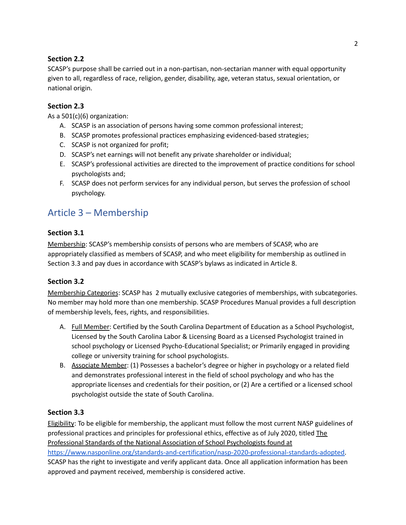### **Section 2.2**

SCASP's purpose shall be carried out in a non-partisan, non-sectarian manner with equal opportunity given to all, regardless of race, religion, gender, disability, age, veteran status, sexual orientation, or national origin.

### **Section 2.3**

As a 501(c)(6) organization:

- A. SCASP is an association of persons having some common professional interest;
- B. SCASP promotes professional practices emphasizing evidenced-based strategies;
- C. SCASP is not organized for profit;
- D. SCASP's net earnings will not benefit any private shareholder or individual;
- E. SCASP's professional activities are directed to the improvement of practice conditions for school psychologists and;
- F. SCASP does not perform services for any individual person, but serves the profession of school psychology.

# <span id="page-1-0"></span>Article 3 – Membership

### **Section 3.1**

Membership: SCASP's membership consists of persons who are members of SCASP, who are appropriately classified as members of SCASP, and who meet eligibility for membership as outlined in Section 3.3 and pay dues in accordance with SCASP's bylaws as indicated in Article 8.

### **Section 3.2**

Membership Categories: SCASP has 2 mutually exclusive categories of memberships, with subcategories. No member may hold more than one membership. SCASP Procedures Manual provides a full description of membership levels, fees, rights, and responsibilities.

- A. Full Member: Certified by the South Carolina Department of Education as a School Psychologist, Licensed by the South Carolina Labor & Licensing Board as a Licensed Psychologist trained in school psychology or Licensed Psycho-Educational Specialist; or Primarily engaged in providing college or university training for school psychologists.
- B. Associate Member: (1) Possesses a bachelor's degree or higher in psychology or a related field and demonstrates professional interest in the field of school psychology and who has the appropriate licenses and credentials for their position, or (2) Are a certified or a licensed school psychologist outside the state of South Carolina.

### **Section 3.3**

Eligibility: To be eligible for membership, the applicant must follow the most current NASP guidelines of professional practices and principles for professional ethics, effective as of July 2020, titled The Professional Standards of the National Association of School Psychologists found at [https://www.nasponline.org/standards-and-certification/nasp-2020-professional-standards-adopted.](https://www.nasponline.org/standards-and-certification/nasp-2020-professional-standards-adopted) SCASP has the right to investigate and verify applicant data. Once all application information has been approved and payment received, membership is considered active.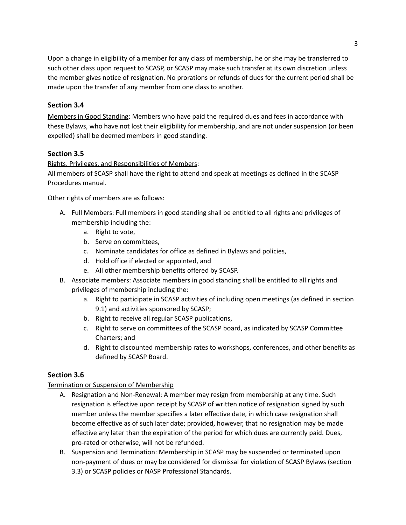Upon a change in eligibility of a member for any class of membership, he or she may be transferred to such other class upon request to SCASP, or SCASP may make such transfer at its own discretion unless the member gives notice of resignation. No prorations or refunds of dues for the current period shall be made upon the transfer of any member from one class to another.

### **Section 3.4**

Members in Good Standing: Members who have paid the required dues and fees in accordance with these Bylaws, who have not lost their eligibility for membership, and are not under suspension (or been expelled) shall be deemed members in good standing.

### **Section 3.5**

### Rights, Privileges, and Responsibilities of Members:

All members of SCASP shall have the right to attend and speak at meetings as defined in the SCASP Procedures manual.

Other rights of members are as follows:

- A. Full Members: Full members in good standing shall be entitled to all rights and privileges of membership including the:
	- a. Right to vote,
	- b. Serve on committees,
	- c. Nominate candidates for office as defined in Bylaws and policies,
	- d. Hold office if elected or appointed, and
	- e. All other membership benefits offered by SCASP.
- B. Associate members: Associate members in good standing shall be entitled to all rights and privileges of membership including the:
	- a. Right to participate in SCASP activities of including open meetings (as defined in section 9.1) and activities sponsored by SCASP;
	- b. Right to receive all regular SCASP publications,
	- c. Right to serve on committees of the SCASP board, as indicated by SCASP Committee Charters; and
	- d. Right to discounted membership rates to workshops, conferences, and other benefits as defined by SCASP Board.

### **Section 3.6**

### Termination or Suspension of Membership

- A. Resignation and Non-Renewal: A member may resign from membership at any time. Such resignation is effective upon receipt by SCASP of written notice of resignation signed by such member unless the member specifies a later effective date, in which case resignation shall become effective as of such later date; provided, however, that no resignation may be made effective any later than the expiration of the period for which dues are currently paid. Dues, pro-rated or otherwise, will not be refunded.
- B. Suspension and Termination: Membership in SCASP may be suspended or terminated upon non-payment of dues or may be considered for dismissal for violation of SCASP Bylaws (section 3.3) or SCASP policies or NASP Professional Standards.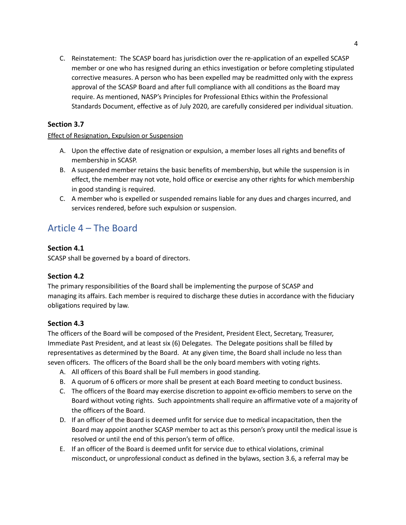C. Reinstatement: The SCASP board has jurisdiction over the re-application of an expelled SCASP member or one who has resigned during an ethics investigation or before completing stipulated corrective measures. A person who has been expelled may be readmitted only with the express approval of the SCASP Board and after full compliance with all conditions as the Board may require. As mentioned, NASP's Principles for Professional Ethics within the Professional Standards Document, effective as of July 2020, are carefully considered per individual situation.

### **Section 3.7**

#### Effect of Resignation, Expulsion or Suspension

- A. Upon the effective date of resignation or expulsion, a member loses all rights and benefits of membership in SCASP.
- B. A suspended member retains the basic benefits of membership, but while the suspension is in effect, the member may not vote, hold office or exercise any other rights for which membership in good standing is required.
- C. A member who is expelled or suspended remains liable for any dues and charges incurred, and services rendered, before such expulsion or suspension.

### <span id="page-3-0"></span>Article 4 – The Board

### **Section 4.1**

SCASP shall be governed by a board of directors.

### **Section 4.2**

The primary responsibilities of the Board shall be implementing the purpose of SCASP and managing its affairs. Each member is required to discharge these duties in accordance with the fiduciary obligations required by law.

### **Section 4.3**

The officers of the Board will be composed of the President, President Elect, Secretary, Treasurer, Immediate Past President, and at least six (6) Delegates. The Delegate positions shall be filled by representatives as determined by the Board. At any given time, the Board shall include no less than seven officers. The officers of the Board shall be the only board members with voting rights.

- A. All officers of this Board shall be Full members in good standing.
- B. A quorum of 6 officers or more shall be present at each Board meeting to conduct business.
- C. The officers of the Board may exercise discretion to appoint ex-officio members to serve on the Board without voting rights. Such appointments shall require an affirmative vote of a majority of the officers of the Board.
- D. If an officer of the Board is deemed unfit for service due to medical incapacitation, then the Board may appoint another SCASP member to act as this person's proxy until the medical issue is resolved or until the end of this person's term of office.
- E. If an officer of the Board is deemed unfit for service due to ethical violations, criminal misconduct, or unprofessional conduct as defined in the bylaws, section 3.6, a referral may be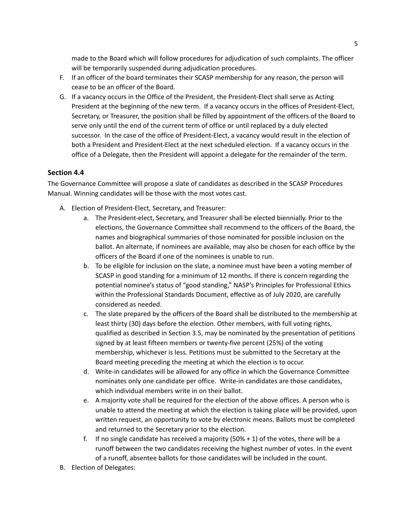made to the Board which will follow procedures for adjudication of such complaints. The officer will be temporarily suspended during adjudication procedures.

- F. If an officer of the board terminates their SCASP membership for any reason, the person will cease to be an officer of the Board.
- G. If a vacancy occurs in the Office of the President, the President-Elect shall serve as Acting President at the beginning of the new term. If a vacancy occurs in the offices of President-Elect, Secretary, or Treasurer, the position shall be filled by appointment of the officers of the Board to serve only until the end of the current term of office or until replaced by a duly elected successor. In the case of the office of President-Elect, a vacancy would result in the election of both a President and President-Elect at the next scheduled election. If a vacancy occurs in the office of a Delegate, then the President will appoint a delegate for the remainder of the term.

### **Section 4.4**

The Governance Committee will propose a slate of candidates as described in the SCASP Procedures Manual. Winning candidates will be those with the most votes cast.

- A. Election of President-Elect, Secretary, and Treasurer:
	- a. The President-elect, Secretary, and Treasurer shall be elected biennially. Prior to the elections, the Governance Committee shall recommend to the officers of the Board, the names and biographical summaries of those nominated for possible inclusion on the ballot. An alternate, if nominees are available, may also be chosen for each office by the officers of the Board if one of the nominees is unable to run.
	- b. To be eligible for inclusion on the slate, a nominee must have been a voting member of SCASP in good standing for a minimum of 12 months. If there is concern regarding the potential nominee's status of "good standing," NASP's Principles for Professional Ethics within the Professional Standards Document, effective as of July 2020, are carefully considered as needed.
	- c. The slate prepared by the officers of the Board shall be distributed to the membership at least thirty (30) days before the election. Other members, with full voting rights, qualified as described in Section 3.5, may be nominated by the presentation of petitions signed by at least fifteen members or twenty-five percent (25%) of the voting membership, whichever is less. Petitions must be submitted to the Secretary at the Board meeting preceding the meeting at which the election is to occur.
	- d. Write-in candidates will be allowed for any office in which the Governance Committee nominates only one candidate per office. Write-in candidates are those candidates, which individual members write in on their ballot.
	- e. A majority vote shall be required for the election of the above offices. A person who is unable to attend the meeting at which the election is taking place will be provided, upon written request, an opportunity to vote by electronic means. Ballots must be completed and returned to the Secretary prior to the election.
	- f. If no single candidate has received a majority  $(50\% + 1)$  of the votes, there will be a runoff between the two candidates receiving the highest number of votes. In the event of a runoff, absentee ballots for those candidates will be included in the count.
- B. Election of Delegates: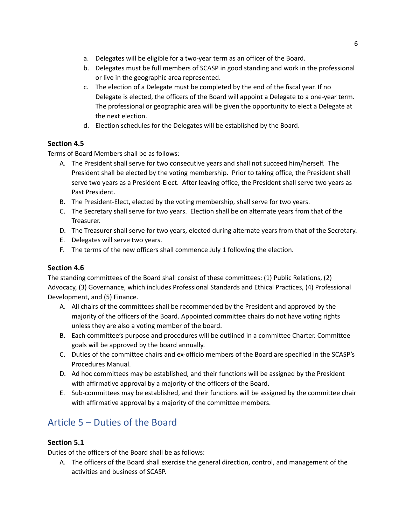- a. Delegates will be eligible for a two-year term as an officer of the Board.
- b. Delegates must be full members of SCASP in good standing and work in the professional or live in the geographic area represented.
- c. The election of a Delegate must be completed by the end of the fiscal year. If no Delegate is elected, the officers of the Board will appoint a Delegate to a one-year term. The professional or geographic area will be given the opportunity to elect a Delegate at the next election.
- d. Election schedules for the Delegates will be established by the Board.

### **Section 4.5**

Terms of Board Members shall be as follows:

- A. The President shall serve for two consecutive years and shall not succeed him/herself. The President shall be elected by the voting membership. Prior to taking office, the President shall serve two years as a President-Elect. After leaving office, the President shall serve two years as Past President.
- B. The President-Elect, elected by the voting membership, shall serve for two years.
- C. The Secretary shall serve for two years. Election shall be on alternate years from that of the Treasurer.
- D. The Treasurer shall serve for two years, elected during alternate years from that of the Secretary.
- E. Delegates will serve two years.
- F. The terms of the new officers shall commence July 1 following the election.

### **Section 4.6**

The standing committees of the Board shall consist of these committees: (1) Public Relations, (2) Advocacy, (3) Governance, which includes Professional Standards and Ethical Practices, (4) Professional Development, and (5) Finance.

- A. All chairs of the committees shall be recommended by the President and approved by the majority of the officers of the Board. Appointed committee chairs do not have voting rights unless they are also a voting member of the board.
- B. Each committee's purpose and procedures will be outlined in a committee Charter. Committee goals will be approved by the board annually.
- C. Duties of the committee chairs and ex-officio members of the Board are specified in the SCASP's Procedures Manual.
- D. Ad hoc committees may be established, and their functions will be assigned by the President with affirmative approval by a majority of the officers of the Board.
- E. Sub-committees may be established, and their functions will be assigned by the committee chair with affirmative approval by a majority of the committee members.

# <span id="page-5-0"></span>Article 5 – Duties of the Board

### **Section 5.1**

Duties of the officers of the Board shall be as follows:

A. The officers of the Board shall exercise the general direction, control, and management of the activities and business of SCASP.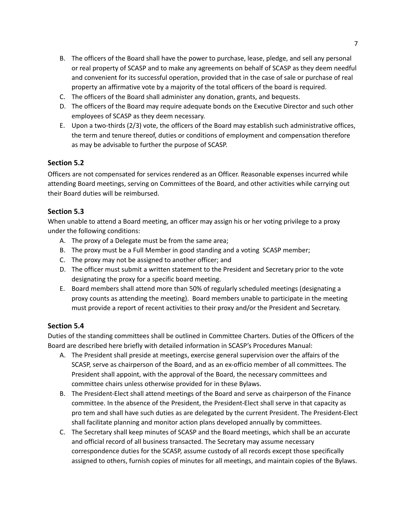- B. The officers of the Board shall have the power to purchase, lease, pledge, and sell any personal or real property of SCASP and to make any agreements on behalf of SCASP as they deem needful and convenient for its successful operation, provided that in the case of sale or purchase of real property an affirmative vote by a majority of the total officers of the board is required.
- C. The officers of the Board shall administer any donation, grants, and bequests.
- D. The officers of the Board may require adequate bonds on the Executive Director and such other employees of SCASP as they deem necessary.
- E. Upon a two-thirds (2/3) vote, the officers of the Board may establish such administrative offices, the term and tenure thereof, duties or conditions of employment and compensation therefore as may be advisable to further the purpose of SCASP.

### **Section 5.2**

Officers are not compensated for services rendered as an Officer. Reasonable expenses incurred while attending Board meetings, serving on Committees of the Board, and other activities while carrying out their Board duties will be reimbursed.

### **Section 5.3**

When unable to attend a Board meeting, an officer may assign his or her voting privilege to a proxy under the following conditions:

- A. The proxy of a Delegate must be from the same area;
- B. The proxy must be a Full Member in good standing and a voting SCASP member;
- C. The proxy may not be assigned to another officer; and
- D. The officer must submit a written statement to the President and Secretary prior to the vote designating the proxy for a specific board meeting.
- E. Board members shall attend more than 50% of regularly scheduled meetings (designating a proxy counts as attending the meeting). Board members unable to participate in the meeting must provide a report of recent activities to their proxy and/or the President and Secretary.

### **Section 5.4**

Duties of the standing committees shall be outlined in Committee Charters. Duties of the Officers of the Board are described here briefly with detailed information in SCASP's Procedures Manual:

- A. The President shall preside at meetings, exercise general supervision over the affairs of the SCASP, serve as chairperson of the Board, and as an ex-officio member of all committees. The President shall appoint, with the approval of the Board, the necessary committees and committee chairs unless otherwise provided for in these Bylaws.
- B. The President-Elect shall attend meetings of the Board and serve as chairperson of the Finance committee. In the absence of the President, the President-Elect shall serve in that capacity as pro tem and shall have such duties as are delegated by the current President. The President-Elect shall facilitate planning and monitor action plans developed annually by committees.
- C. The Secretary shall keep minutes of SCASP and the Board meetings, which shall be an accurate and official record of all business transacted. The Secretary may assume necessary correspondence duties for the SCASP, assume custody of all records except those specifically assigned to others, furnish copies of minutes for all meetings, and maintain copies of the Bylaws.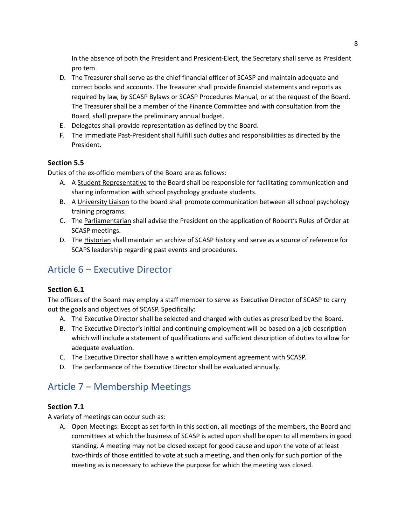In the absence of both the President and President-Elect, the Secretary shall serve as President pro tem.

- D. The Treasurer shall serve as the chief financial officer of SCASP and maintain adequate and correct books and accounts. The Treasurer shall provide financial statements and reports as required by law, by SCASP Bylaws or SCASP Procedures Manual, or at the request of the Board. The Treasurer shall be a member of the Finance Committee and with consultation from the Board, shall prepare the preliminary annual budget.
- E. Delegates shall provide representation as defined by the Board.
- F. The Immediate Past-President shall fulfill such duties and responsibilities as directed by the President.

### **Section 5.5**

Duties of the ex-officio members of the Board are as follows:

- A. A Student Representative to the Board shall be responsible for facilitating communication and sharing information with school psychology graduate students.
- B. A University Liaison to the board shall promote communication between all school psychology training programs.
- C. The Parliamentarian shall advise the President on the application of Robert's Rules of Order at SCASP meetings.
- D. The Historian shall maintain an archive of SCASP history and serve as a source of reference for SCAPS leadership regarding past events and procedures.

# <span id="page-7-0"></span>Article 6 – Executive Director

### **Section 6.1**

The officers of the Board may employ a staff member to serve as Executive Director of SCASP to carry out the goals and objectives of SCASP. Specifically:

- A. The Executive Director shall be selected and charged with duties as prescribed by the Board.
- B. The Executive Director's initial and continuing employment will be based on a job description which will include a statement of qualifications and sufficient description of duties to allow for adequate evaluation.
- C. The Executive Director shall have a written employment agreement with SCASP.
- D. The performance of the Executive Director shall be evaluated annually.

# <span id="page-7-1"></span>Article 7 – Membership Meetings

### **Section 7.1**

A variety of meetings can occur such as:

A. Open Meetings: Except as set forth in this section, all meetings of the members, the Board and committees at which the business of SCASP is acted upon shall be open to all members in good standing. A meeting may not be closed except for good cause and upon the vote of at least two-thirds of those entitled to vote at such a meeting, and then only for such portion of the meeting as is necessary to achieve the purpose for which the meeting was closed.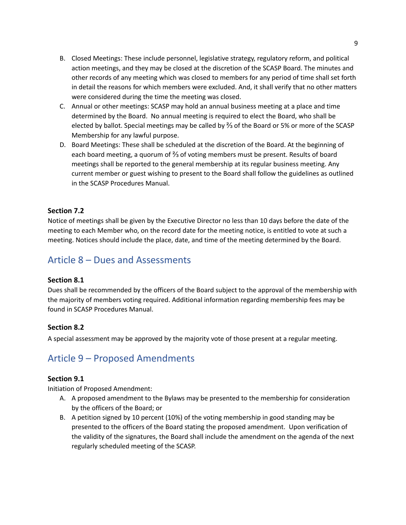- B. Closed Meetings: These include personnel, legislative strategy, regulatory reform, and political action meetings, and they may be closed at the discretion of the SCASP Board. The minutes and other records of any meeting which was closed to members for any period of time shall set forth in detail the reasons for which members were excluded. And, it shall verify that no other matters were considered during the time the meeting was closed.
- C. Annual or other meetings: SCASP may hold an annual business meeting at a place and time determined by the Board. No annual meeting is required to elect the Board, who shall be elected by ballot. Special meetings may be called by ⅔ of the Board or 5% or more of the SCASP Membership for any lawful purpose.
- D. Board Meetings: These shall be scheduled at the discretion of the Board. At the beginning of each board meeting, a quorum of ⅔ of voting members must be present. Results of board meetings shall be reported to the general membership at its regular business meeting. Any current member or guest wishing to present to the Board shall follow the guidelines as outlined in the SCASP Procedures Manual.

### **Section 7.2**

Notice of meetings shall be given by the Executive Director no less than 10 days before the date of the meeting to each Member who, on the record date for the meeting notice, is entitled to vote at such a meeting. Notices should include the place, date, and time of the meeting determined by the Board.

# <span id="page-8-0"></span>Article 8 – Dues and Assessments

#### **Section 8.1**

Dues shall be recommended by the officers of the Board subject to the approval of the membership with the majority of members voting required. Additional information regarding membership fees may be found in SCASP Procedures Manual.

### **Section 8.2**

A special assessment may be approved by the majority vote of those present at a regular meeting.

### <span id="page-8-1"></span>Article 9 – Proposed Amendments

### **Section 9.1**

Initiation of Proposed Amendment:

- A. A proposed amendment to the Bylaws may be presented to the membership for consideration by the officers of the Board; or
- B. A petition signed by 10 percent (10%) of the voting membership in good standing may be presented to the officers of the Board stating the proposed amendment. Upon verification of the validity of the signatures, the Board shall include the amendment on the agenda of the next regularly scheduled meeting of the SCASP.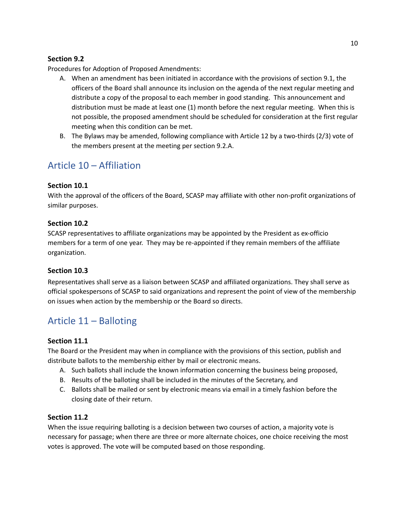### **Section 9.2**

Procedures for Adoption of Proposed Amendments:

- A. When an amendment has been initiated in accordance with the provisions of section 9.1, the officers of the Board shall announce its inclusion on the agenda of the next regular meeting and distribute a copy of the proposal to each member in good standing. This announcement and distribution must be made at least one (1) month before the next regular meeting. When this is not possible, the proposed amendment should be scheduled for consideration at the first regular meeting when this condition can be met.
- B. The Bylaws may be amended, following compliance with Article 12 by a two-thirds (2/3) vote of the members present at the meeting per section 9.2.A.

### <span id="page-9-0"></span>Article 10 – Affiliation

### **Section 10.1**

With the approval of the officers of the Board, SCASP may affiliate with other non-profit organizations of similar purposes.

### **Section 10.2**

SCASP representatives to affiliate organizations may be appointed by the President as ex-officio members for a term of one year. They may be re-appointed if they remain members of the affiliate organization.

### **Section 10.3**

Representatives shall serve as a liaison between SCASP and affiliated organizations. They shall serve as official spokespersons of SCASP to said organizations and represent the point of view of the membership on issues when action by the membership or the Board so directs.

# <span id="page-9-1"></span>Article 11 – Balloting

### **Section 11.1**

The Board or the President may when in compliance with the provisions of this section, publish and distribute ballots to the membership either by mail or electronic means.

- A. Such ballots shall include the known information concerning the business being proposed,
- B. Results of the balloting shall be included in the minutes of the Secretary, and
- C. Ballots shall be mailed or sent by electronic means via email in a timely fashion before the closing date of their return.

### **Section 11.2**

When the issue requiring balloting is a decision between two courses of action, a majority vote is necessary for passage; when there are three or more alternate choices, one choice receiving the most votes is approved. The vote will be computed based on those responding.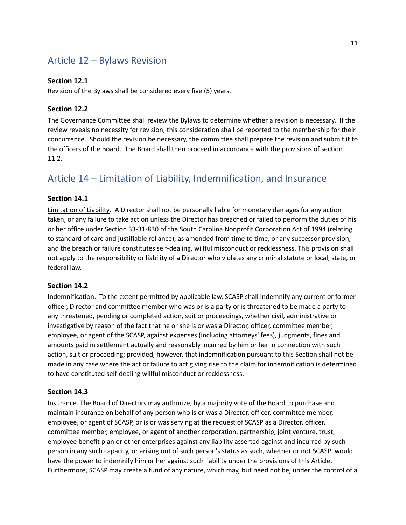# <span id="page-10-0"></span>Article 12 – Bylaws Revision

### **Section 12.1**

Revision of the Bylaws shall be considered every five (5) years.

### **Section 12.2**

The Governance Committee shall review the Bylaws to determine whether a revision is necessary. If the review reveals no necessity for revision, this consideration shall be reported to the membership for their concurrence. Should the revision be necessary, the committee shall prepare the revision and submit it to the officers of the Board. The Board shall then proceed in accordance with the provisions of section 11.2.

# <span id="page-10-1"></span>Article 14 – Limitation of Liability, Indemnification, and Insurance

#### **Section 14.1**

Limitation of Liability. A Director shall not be personally liable for monetary damages for any action taken, or any failure to take action unless the Director has breached or failed to perform the duties of his or her office under Section 33-31-830 of the South Carolina Nonprofit Corporation Act of 1994 (relating to standard of care and justifiable reliance), as amended from time to time, or any successor provision, and the breach or failure constitutes self-dealing, willful misconduct or recklessness. This provision shall not apply to the responsibility or liability of a Director who violates any criminal statute or local, state, or federal law.

#### **Section 14.2**

Indemnification. To the extent permitted by applicable law, SCASP shall indemnify any current or former officer, Director and committee member who was or is a party or is threatened to be made a party to any threatened, pending or completed action, suit or proceedings, whether civil, administrative or investigative by reason of the fact that he or she is or was a Director, officer, committee member, employee, or agent of the SCASP, against expenses (including attorneys' fees), judgments, fines and amounts paid in settlement actually and reasonably incurred by him or her in connection with such action, suit or proceeding; provided, however, that indemnification pursuant to this Section shall not be made in any case where the act or failure to act giving rise to the claim for indemnification is determined to have constituted self-dealing willful misconduct or recklessness.

#### **Section 14.3**

Insurance. The Board of Directors may authorize, by a majority vote of the Board to purchase and maintain insurance on behalf of any person who is or was a Director, officer, committee member, employee, or agent of SCASP, or is or was serving at the request of SCASP as a Director, officer, committee member, employee, or agent of another corporation, partnership, joint venture, trust, employee benefit plan or other enterprises against any liability asserted against and incurred by such person in any such capacity, or arising out of such person's status as such, whether or not SCASP would have the power to indemnify him or her against such liability under the provisions of this Article. Furthermore, SCASP may create a fund of any nature, which may, but need not be, under the control of a